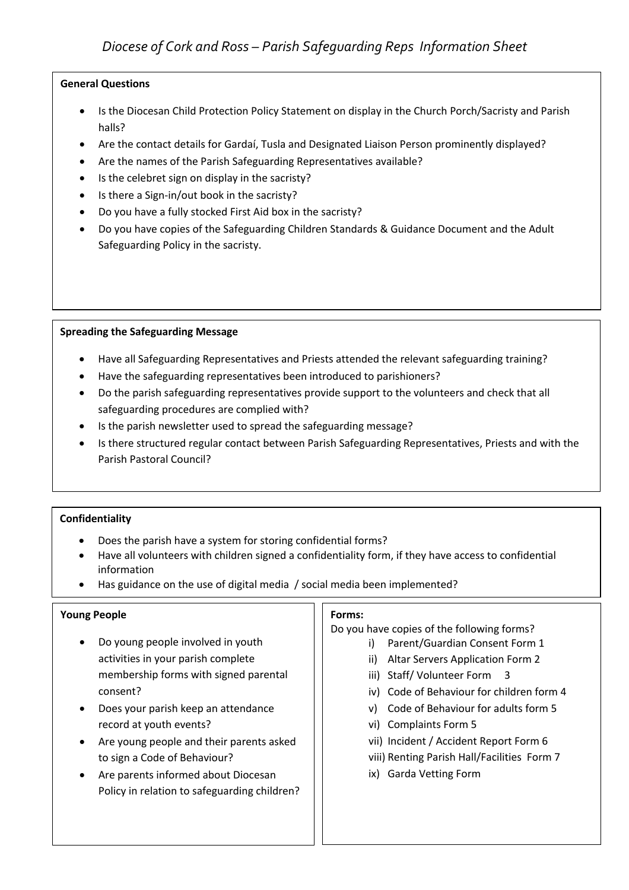# *Diocese of Cork and Ross – Parish Safeguarding Reps Information Sheet*

## **General Questions**

- Is the Diocesan Child Protection Policy Statement on display in the Church Porch/Sacristy and Parish halls?
- Are the contact details for Gardaí, Tusla and Designated Liaison Person prominently displayed?
- Are the names of the Parish Safeguarding Representatives available?
- Is the celebret sign on display in the sacristy?
- Is there a Sign-in/out book in the sacristy?
- Do you have a fully stocked First Aid box in the sacristy?
- Do you have copies of the Safeguarding Children Standards & Guidance Document and the Adult Safeguarding Policy in the sacristy.

#### **Spreading the Safeguarding Message**

- Have all Safeguarding Representatives and Priests attended the relevant safeguarding training?
- Have the safeguarding representatives been introduced to parishioners?
- Do the parish safeguarding representatives provide support to the volunteers and check that all safeguarding procedures are complied with?
- Is the parish newsletter used to spread the safeguarding message?
- Is there structured regular contact between Parish Safeguarding Representatives, Priests and with the Parish Pastoral Council?

#### **Confidentiality**

- Does the parish have a system for storing confidential forms?
- Have all volunteers with children signed a confidentiality form, if they have access to confidential information
- Has guidance on the use of digital media / social media been implemented?

#### **Young People**

- Do young people involved in youth activities in your parish complete membership forms with signed parental consent?
- Does your parish keep an attendance record at youth events?
- Are young people and their parents asked to sign a Code of Behaviour?
- Are parents informed about Diocesan Policy in relation to safeguarding children?

#### **Forms:**

Do you have copies of the following forms?

- i) Parent/Guardian Consent Form 1
- ii) Altar Servers Application Form 2
- iii) Staff/ Volunteer Form 3
- iv) Code of Behaviour for children form 4
- v) Code of Behaviour for adults form 5
- vi) Complaints Form 5
- vii) Incident / Accident Report Form 6
- viii) Renting Parish Hall/Facilities Form 7
- ix) Garda Vetting Form